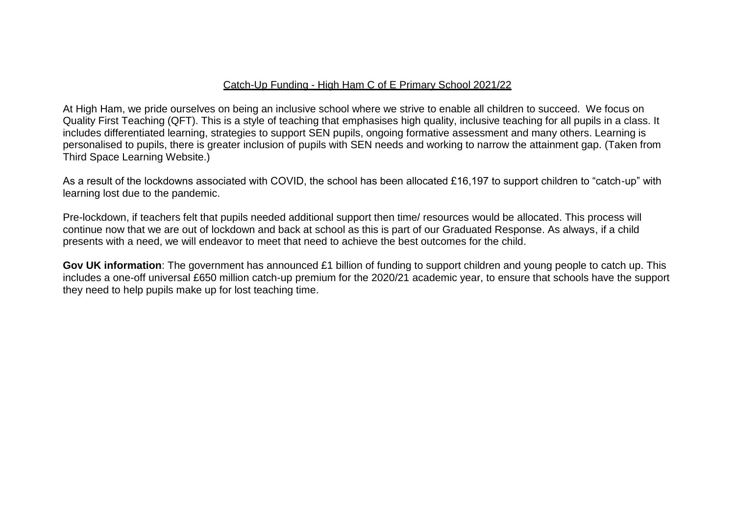## Catch-Up Funding - High Ham C of E Primary School 2021/22

At High Ham, we pride ourselves on being an inclusive school where we strive to enable all children to succeed. We focus on Quality First Teaching (QFT). This is a style of teaching that emphasises high quality, inclusive teaching for all pupils in a class. It includes differentiated learning, strategies to support SEN pupils, ongoing formative assessment and many others. Learning is personalised to pupils, there is greater inclusion of pupils with SEN needs and working to narrow the attainment gap. (Taken from Third Space Learning Website.)

As a result of the lockdowns associated with COVID, the school has been allocated £16,197 to support children to "catch-up" with learning lost due to the pandemic.

Pre-lockdown, if teachers felt that pupils needed additional support then time/ resources would be allocated. This process will continue now that we are out of lockdown and back at school as this is part of our Graduated Response. As always, if a child presents with a need, we will endeavor to meet that need to achieve the best outcomes for the child.

**Gov UK information**: The government has announced £1 billion of funding to support children and young people to catch up. This includes a one-off universal £650 million catch-up premium for the 2020/21 academic year, to ensure that schools have the support they need to help pupils make up for lost teaching time.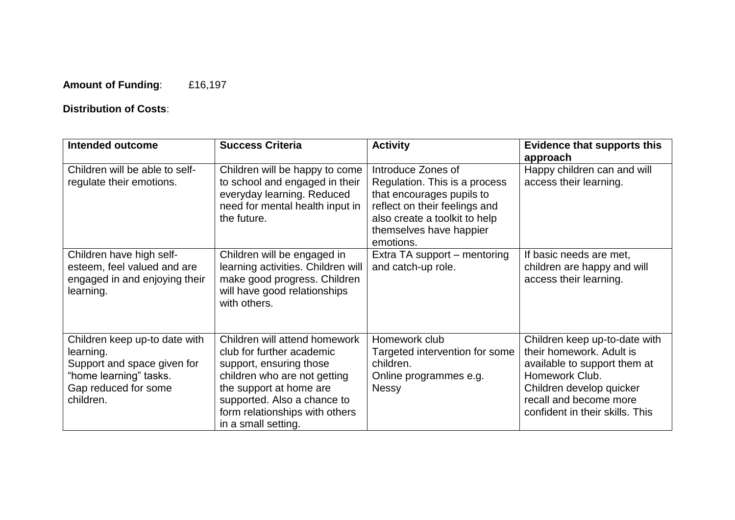## **Amount of Funding**: £16,197

## **Distribution of Costs**:

| <b>Intended outcome</b>                                                                                                                  | <b>Success Criteria</b>                                                                                                                                                                                                                  | <b>Activity</b>                                                                                                                                                                            | <b>Evidence that supports this</b><br>approach                                                                                                                                                       |
|------------------------------------------------------------------------------------------------------------------------------------------|------------------------------------------------------------------------------------------------------------------------------------------------------------------------------------------------------------------------------------------|--------------------------------------------------------------------------------------------------------------------------------------------------------------------------------------------|------------------------------------------------------------------------------------------------------------------------------------------------------------------------------------------------------|
| Children will be able to self-<br>regulate their emotions.                                                                               | Children will be happy to come<br>to school and engaged in their<br>everyday learning. Reduced<br>need for mental health input in<br>the future.                                                                                         | Introduce Zones of<br>Regulation. This is a process<br>that encourages pupils to<br>reflect on their feelings and<br>also create a toolkit to help<br>themselves have happier<br>emotions. | Happy children can and will<br>access their learning.                                                                                                                                                |
| Children have high self-<br>esteem, feel valued and are<br>engaged in and enjoying their<br>learning.                                    | Children will be engaged in<br>learning activities. Children will<br>make good progress. Children<br>will have good relationships<br>with others.                                                                                        | Extra TA support – mentoring<br>and catch-up role.                                                                                                                                         | If basic needs are met.<br>children are happy and will<br>access their learning.                                                                                                                     |
| Children keep up-to date with<br>learning.<br>Support and space given for<br>"home learning" tasks.<br>Gap reduced for some<br>children. | Children will attend homework<br>club for further academic<br>support, ensuring those<br>children who are not getting<br>the support at home are<br>supported. Also a chance to<br>form relationships with others<br>in a small setting. | Homework club<br>Targeted intervention for some<br>children.<br>Online programmes e.g.<br><b>Nessy</b>                                                                                     | Children keep up-to-date with<br>their homework. Adult is<br>available to support them at<br>Homework Club.<br>Children develop quicker<br>recall and become more<br>confident in their skills. This |